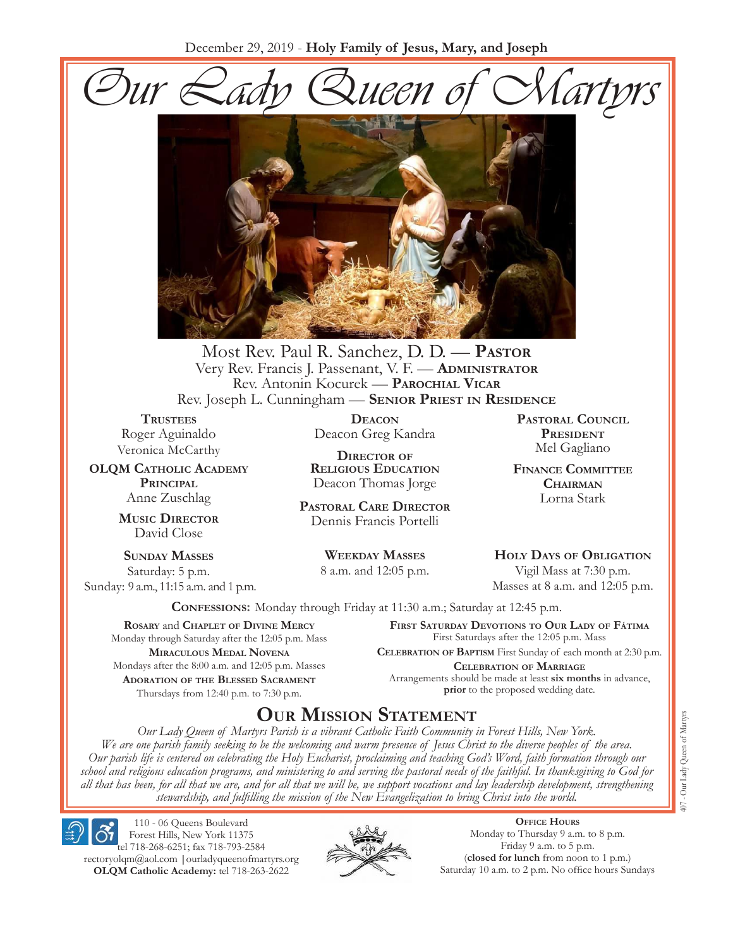December 29, 2019 - **Holy Family of Jesus, Mary, and Joseph**





Most Rev. Paul R. Sanchez, D. D. — **Pastor** Very Rev. Francis J. Passenant, V. F. - **ADMINISTRATOR** Rev. Antonin Kocurek — **Parochial Vicar** Rev. Joseph L. Cunningham — **Senior Priest in Residence**

**TRUSTEES** Roger Aguinaldo Veronica McCarthy

**OLQM Catholic Academy Principal** Anne Zuschlag

> **Music Director** David Close

**Sunday Masses** Saturday: 5 p.m. Sunday: 9 a.m., 11:15 a.m. and 1 p.m.

**Deacon** Deacon Greg Kandra

**Director of Religious Education** Deacon Thomas Jorge

**Pastoral Care Director** Dennis Francis Portelli

> **Weekday Masses** 8 a.m. and 12:05 p.m.

**Pastoral Council President** Mel Gagliano

**Finance Committee Chairman** Lorna Stark

**Holy Days of Obligation** Vigil Mass at 7:30 p.m.

Masses at 8 a.m. and 12:05 p.m.

**Confessions:** Monday through Friday at 11:30 a.m.; Saturday at 12:45 p.m.

**Rosary** and **Chaplet of Divine Mercy** Monday through Saturday after the 12:05 p.m. Mass **Miraculous Medal Novena** Mondays after the 8:00 a.m. and 12:05 p.m. Masses **Adoration of the Blessed Sacrament** Thursdays from 12:40 p.m. to 7:30 p.m.

**First Saturday Devotions to Our Lady of Fátima** First Saturdays after the 12:05 p.m. Mass

**Celebration of Baptism** First Sunday of each month at 2:30 p.m. **Celebration of Marriage** Arrangements should be made at least **six months** in advance, **prior** to the proposed wedding date.

# **Our Mission Statement**

*Our Lady Queen of Martyrs Parish is a vibrant Catholic Faith Community in Forest Hills, New York. We are one parish family seeking to be the welcoming and warm presence of Jesus Christ to the diverse peoples of the area. Our parish life is centered on celebrating the Holy Eucharist, proclaiming and teaching God's Word, faith formation through our school and religious education programs, and ministering to and serving the pastoral needs of the faithful. In thanksgiving to God for all that has been, for all that we are, and for all that we will be, we support vocations and lay leadership development, strengthening stewardship, and fulfilling the mission of the New Evangelization to bring Christ into the world.*

110 - 06 Queens Boulevard Forest Hills, New York 11375 tel 718-268-6251; fax 718-793-2584 [rectoryolqm@aol.com](mailto:rectoryolqm@aol.com) **|**[ourladyqueenofmartyrs.org](www.ourladyqueenofmartyrs.org) **OLQM Catholic Academy:** tel 718-263-2622



**Office Hours** Monday to Thursday 9 a.m. to 8 p.m. Friday 9 a.m. to 5 p.m. (**closed for lunch** from noon to 1 p.m.) Saturday 10 a.m. to 2 p.m. No office hours Sundays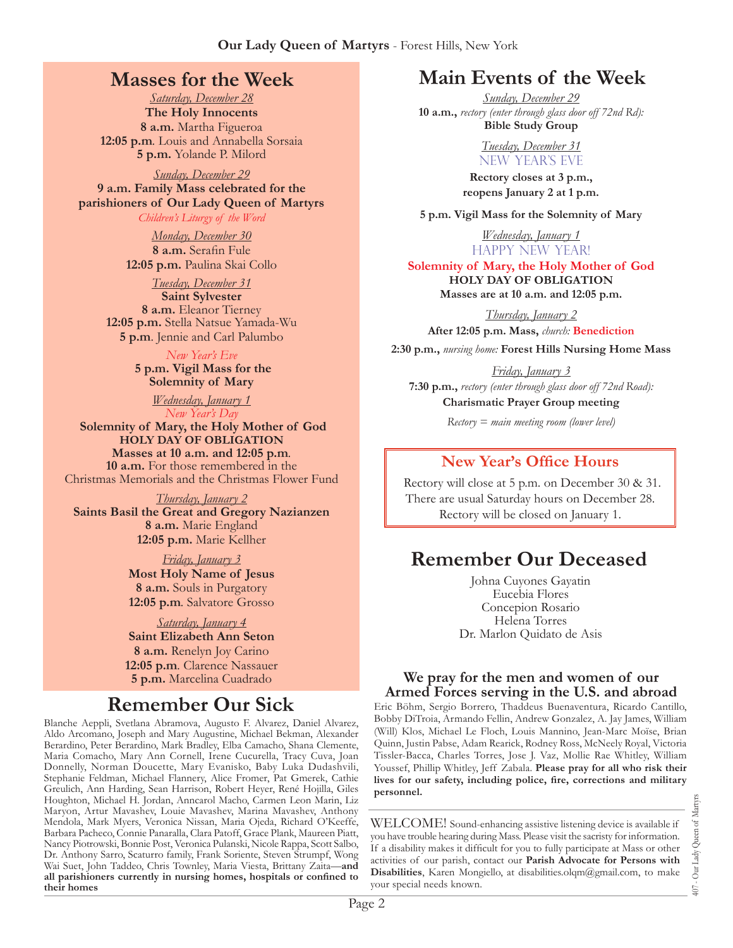## **Masses for the Week**

*Saturday, December 28* **The Holy Innocents 8 a.m.** Martha Figueroa **12:05 p.m***.* Louis and Annabella Sorsaia **5 p.m.** Yolande P. Milord

*Sunday, December 29* **9 a.m. Family Mass celebrated for the parishioners of Our Lady Queen of Martyrs** *Children's Liturgy of the Word* 

> *Monday, December 30* **8 a.m.** Serafin Fule **12:05 p.m.** Paulina Skai Collo

*Tuesday, December 31* **Saint Sylvester 8 a.m.** Eleanor Tierney **12:05 p.m.** Stella Natsue Yamada-Wu **5 p.m**. Jennie and Carl Palumbo

> *New Year's Eve*  **5 p.m. Vigil Mass for the**

**Solemnity of Mary**

*Wednesday, January 1 New Year's Day*

**Solemnity of Mary, the Holy Mother of God HOLY DAY OF OBLIGATION**<br>Masses at 10 a.m. and 12:05 p.m. **10 a.m.** For those remembered in the Christmas Memorials and the Christmas Flower Fund

*Thursday, January 2* **Saints Basil the Great and Gregory Nazianzen 8 a.m.** Marie England **12:05 p.m.** Marie Kellher

> *Friday, January 3* **Most Holy Name of Jesus**

> **8 a.m.** Souls in Purgatory **12:05 p.m***.* Salvatore Grosso

*Saturday, January 4* **Saint Elizabeth Ann Seton 8 a.m.** Renelyn Joy Carino **12:05 p.m***.* Clarence Nassauer **5 p.m.** Marcelina Cuadrado

# **Remember Our Sick**

Blanche Aeppli, Svetlana Abramova, Augusto F. Alvarez, Daniel Alvarez, Aldo Arcomano, Joseph and Mary Augustine, Michael Bekman, Alexander Berardino, Peter Berardino, Mark Bradley, Elba Camacho, Shana Clemente, Maria Comacho, Mary Ann Cornell, Irene Cucurella, Tracy Cuva, Joan Donnelly, Norman Doucette, Mary Evanisko, Baby Luka Dudashvili, Stephanie Feldman, Michael Flannery, Alice Fromer, Pat Gmerek, Cathie Greulich, Ann Harding, Sean Harrison, Robert Heyer, René Hojilla, Giles Houghton, Michael H. Jordan, Anncarol Macho, Carmen Leon Marin, Liz Maryon, Artur Mavashev, Louie Mavashev, Marina Mavashev, Anthony Mendola, Mark Myers, Veronica Nissan, Maria Ojeda, Richard O'Keeffe, Barbara Pacheco, Connie Panaralla, Clara Patoff, Grace Plank, Maureen Piatt, Nancy Piotrowski, Bonnie Post, Veronica Pulanski, Nicole Rappa, Scott Salbo, Dr. Anthony Sarro, Scaturro family, Frank Soriente, Steven Strumpf, Wong Wai Suet, John Taddeo, Chris Townley, Maria Viesta, Brittany Zaita—**and all parishioners currently in nursing homes, hospitals or confined to their homes**

# **Main Events of the Week**

*Sunday, December 29* **10 a.m.,** *rectory (enter through glass door off 72nd Rd):* **Bible Study Group**

> *Tuesday, December 31* NEW YEAR'S EVE

**Rectory closes at 3 p.m., reopens January 2 at 1 p.m.**

**5 p.m. Vigil Mass for the Solemnity of Mary**

*Wednesday, January 1* HAPPY NEW YEAR!

**Solemnity of Mary, the Holy Mother of God HOLY DAY OF OBLIGATION**

**Masses are at 10 a.m. and 12:05 p.m.**

*Thursday, January 2*

**After 12:05 p.m. Mass,** *church:* **Benediction**

**2:30 p.m.,** *nursing home:* **Forest Hills Nursing Home Mass**

*Friday, January 3* **7:30 p.m.,** *rectory (enter through glass door off 72nd Road):* **Charismatic Prayer Group meeting**

*Rectory = main meeting room (lower level)*

#### **New Year's Office Hours**

Rectory will close at 5 p.m. on December 30 & 31. There are usual Saturday hours on December 28. Rectory will be closed on January 1.

# **Remember Our Deceased**

Johna Cuyones Gayatin Eucebia Flores Concepion Rosario Helena Torres Dr. Marlon Quidato de Asis

#### **We pray for the men and women of our Armed Forces serving in the U.S. and abroad**

Eric Böhm, Sergio Borrero, Thaddeus Buenaventura, Ricardo Cantillo, Bobby DiTroia, Armando Fellin, Andrew Gonzalez, A. Jay James, William (Will) Klos, Michael Le Floch, Louis Mannino, Jean-Marc Moïse, Brian Quinn, Justin Pabse, Adam Rearick, Rodney Ross, McNeely Royal, Victoria Tissler-Bacca, Charles Torres, Jose J. Vaz, Mollie Rae Whitley, William Youssef, Phillip Whitley, Jeff Zabala. **Please pray for all who risk their lives for our safety, including police, fire, corrections and military personnel.**

WELCOME! Sound-enhancing assistive listening device is available if you have trouble hearing during Mass. Please visit the sacristy for information. If a disability makes it difficult for you to fully participate at Mass or other activities of our parish, contact our **Parish Advocate for Persons with Disabilities**, Karen Mongiello, at [disabilities.olqm@gmail.com](mailto:disabilities.olqm@gmail.com), to make your special needs known.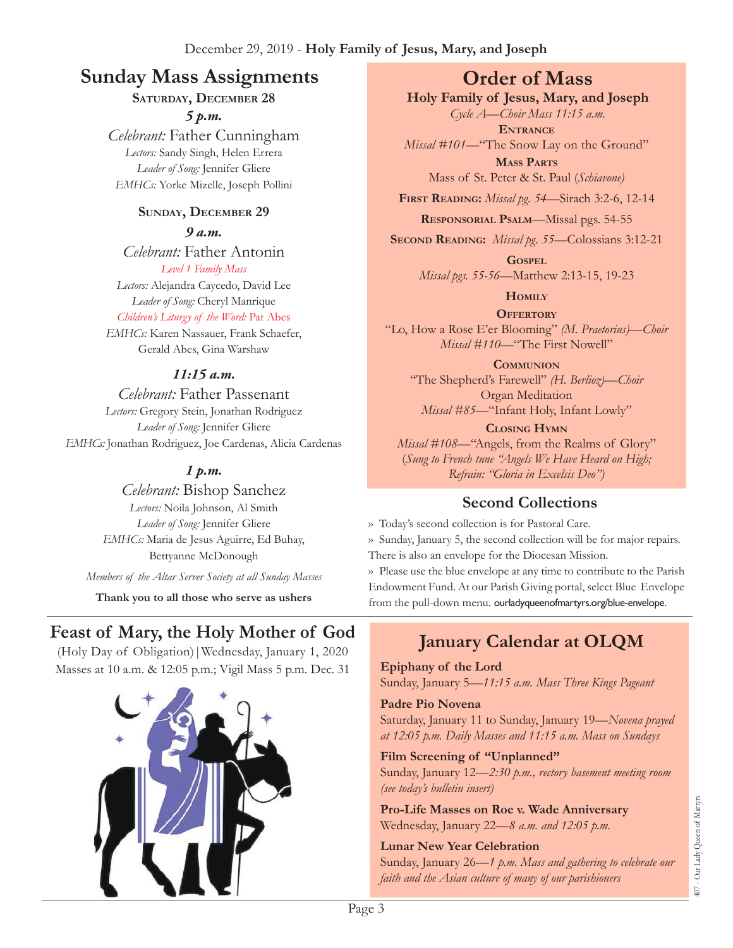# **Sunday Mass Assignments Order of Mass**

## **Saturday, December 28**

*5 p.m.* 

*Celebrant:* Father Cunningham *Lectors:* Sandy Singh, Helen Errera *Leader of Song:* Jennifer Gliere *EMHCs:* Yorke Mizelle, Joseph Pollini

#### **Sunday, December 29**

*9 a.m.* 

*Celebrant:* Father Antonin *Level 1 Family Mass*

*Lectors:* Alejandra Caycedo, David Lee *Leader of Song:* Cheryl Manrique

*Children's Liturgy of the Word:* Pat Abes

*EMHCs:* Karen Nassauer, Frank Schaefer, Gerald Abes, Gina Warshaw

#### *11:15 a.m.*

*Celebrant:* Father Passenant *Lectors:* Gregory Stein, Jonathan Rodriguez *Leader of Song:* Jennifer Gliere *EMHCs:* Jonathan Rodriguez, Joe Cardenas, Alicia Cardenas

### *1 p.m.*

*Celebrant:* Bishop Sanchez *Lectors:* Noila Johnson, Al Smith *Leader of Song:* Jennifer Gliere *EMHCs:* Maria de Jesus Aguirre, Ed Buhay, Bettyanne McDonough

*Members of the Altar Server Society at all Sunday Masses*

**Thank you to all those who serve as ushers**

# **Feast of Mary, the Holy Mother of God**

(Holy Day of Obligation)|Wednesday, January 1, 2020 Masses at 10 a.m. & 12:05 p.m.; Vigil Mass 5 p.m. Dec. 31



**Holy Family of Jesus, Mary, and Joseph**

*Cycle A—Choir Mass 11:15 a.m.* **Entrance**

*Missal #101—*"The Snow Lay on the Ground"

**Mass Parts** Mass of St. Peter & St. Paul (*Schiavone)*

**First Reading:** *Missal pg. 54—*Sirach 3:2-6, 12-14

**Responsorial Psalm**—Missal pgs. 54-55

**Second Reading:** *Missal pg. 55—*Colossians 3:12-21

**Gospel** *Missal pgs. 55-56—*Matthew 2:13-15, 19-23

**Homily**

**OFFERTORY** "Lo, How a Rose E'er Blooming" *(M. Praetorius)—Choir Missal #110—*"The First Nowell"

**Communion** "The Shepherd's Farewell" *(H. Berlioz)—Choir* Organ Meditation *Missal #85—*"Infant Holy, Infant Lowly"

**Closing Hymn** *Missal* #108—"Angels, from the Realms of Glory" (*Sung to French tune "Angels We Have Heard on High; Refrain: "Gloria in Excelsis Deo")*

## **Second Collections**

›› Today's second collection is for Pastoral Care. ›› Sunday, January 5, the second collection will be for major repairs. There is also an envelope for the Diocesan Mission.

›› Please use the blue envelope at any time to contribute to the Parish Endowment Fund. At our Parish Giving portal, select Blue Envelope from the pull-down menu. ourladyqueenofmartyrs.org/blue-envelope.

# **January Calendar at OLQM**

**Epiphany of the Lord**

Sunday, January 5—*11:15 a.m. Mass Three Kings Pageant* 

#### **Padre Pio Novena**

Saturday, January 11 to Sunday, January 19—*Novena prayed at 12:05 p.m. Daily Masses and 11:15 a.m. Mass on Sundays*

#### **Film Screening of "Unplanned"**

Sunday, January 12—*2:30 p.m., rectory basement meeting room (see today's bulletin insert)*

**Pro-Life Masses on Roe v. Wade Anniversary** Wednesday, January 22—*8 a.m. and 12:05 p.m.*

#### **Lunar New Year Celebration**

Sunday, January 26—*1 p.m. Mass and gathering to celebrate our faith and the Asian culture of many of our parishioners*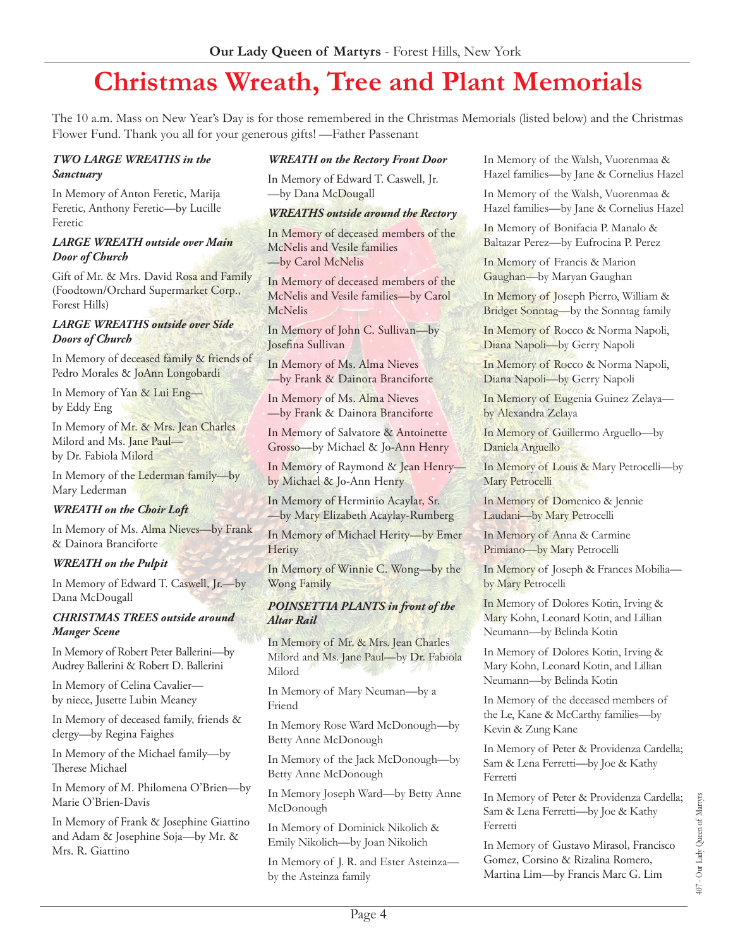# **Christmas Wreath, Tree and Plant Memorials**

The 10 a.m. Mass on New Year's Day is for those remembered in the Christmas Memorials (listed below) and the Christmas Flower Fund. Thank you all for your generous gifts! —Father Passenant

#### *TWO LARGE WREATHS in the Sanctuary*

In Memory of Anton Feretic, Marija Feretic, Anthony Feretic—by Lucille Feretic

#### *LARGE WREATH outside over Main Door of Church*

Gift of Mr. & Mrs. David Rosa and Family (Foodtown/Orchard Supermarket Corp., Forest Hills)

#### *LARGE WREATHS outside over Side Doors of Church*

In Memory of deceased family & friends of Pedro Morales & JoAnn Longobardi

In Memory of Yan & Lui Eng by Eddy Eng

In Memory of Mr. & Mrs. Jean Charles Milord and Ms. Jane Paul by Dr. Fabiola Milord

In Memory of the Lederman family—by Mary Lederman

#### *WREATH on the Choir Loft*

In Memory of Ms. Alma Nieves—by Frank & Dainora Branciforte

#### *WREATH on the Pulpit*

In Memory of Edward T. Caswell, Jr.—by Dana McDougall

#### *CHRISTMAS TREES outside around Manger Scene*

In Memory of Robert Peter Ballerini—by Audrey Ballerini & Robert D. Ballerini

In Memory of Celina Cavalier by niece, Jusette Lubin Meaney

In Memory of deceased family, friends & clergy—by Regina Faighes

In Memory of the Michael family—by Therese Michael

In Memory of M. Philomena O'Brien—by Marie O'Brien-Davis

In Memory of Frank & Josephine Giattino and Adam & Josephine Soja—by Mr. & Mrs. R. Giattino

#### *WREATH on the Rectory Front Door*

In Memory of Edward T. Caswell, Jr. —by Dana McDougall

#### *WREATHS outside around the Rectory*

In Memory of deceased members of the McNelis and Vesile families —by Carol McNelis

In Memory of deceased members of the McNelis and Vesile families—by Carol McNelis

In Memory of John C. Sullivan—by Josefina Sullivan

In Memory of Ms. Alma Nieves —by Frank & Dainora Branciforte

In Memory of Ms. Alma Nieves —by Frank & Dainora Branciforte

In Memory of Salvatore & Antoinette Grosso—by Michael & Jo-Ann Henry

In Memory of Raymond & Jean Henry by Michael & Jo-Ann Henry

In Memory of Herminio Acaylar, Sr. —by Mary Elizabeth Acaylay-Rumberg

In Memory of Michael Herity—by Emer **Herity** 

In Memory of Winnie C. Wong—by the Wong Family

#### *POINSETTIA PLANTS in front of the Altar Rail*

In Memory of Mr. & Mrs. Jean Charles Milord and Ms. Jane Paul—by Dr. Fabiola Milord

In Memory of Mary Neuman—by a Friend

In Memory Rose Ward McDonough—by Betty Anne McDonough

In Memory of the Jack McDonough—by Betty Anne McDonough

In Memory Joseph Ward—by Betty Anne McDonough

In Memory of Dominick Nikolich & Emily Nikolich—by Joan Nikolich

In Memory of J. R. and Ester Asteinza by the Asteinza family

In Memory of the Walsh, Vuorenmaa & Hazel families—by Jane & Cornelius Hazel

In Memory of the Walsh, Vuorenmaa & Hazel families—by Jane & Cornelius Hazel

In Memory of Bonifacia P. Manalo & Baltazar Perez—by Eufrocina P. Perez

In Memory of Francis & Marion Gaughan—by Maryan Gaughan

In Memory of Joseph Pierro, William & Bridget Sonntag—by the Sonntag family

In Memory of Rocco & Norma Napoli, Diana Napoli—by Gerry Napoli

In Memory of Rocco & Norma Napoli, Diana Napoli—by Gerry Napoli

In Memory of Eugenia Guinez Zelaya by Alexandra Zelaya

In Memory of Guillermo Arguello—by Daniela Arguello

In Memory of Louis & Mary Petrocelli—by Mary Petrocelli

In Memory of Domenico & Jennie Laudani—by Mary Petrocelli

In Memory of Anna & Carmine Primiano—by Mary Petrocelli

In Memory of Joseph & Frances Mobilia by Mary Petrocelli

In Memory of Dolores Kotin, Irving & Mary Kohn, Leonard Kotin, and Lillian Neumann—by Belinda Kotin

In Memory of Dolores Kotin, Irving & Mary Kohn, Leonard Kotin, and Lillian Neumann—by Belinda Kotin

In Memory of the deceased members of the Le, Kane & McCarthy families—by Kevin & Zung Kane

In Memory of Peter & Providenza Cardella; Sam & Lena Ferretti—by Joe & Kathy Ferretti

In Memory of Peter & Providenza Cardella; Sam & Lena Ferretti—by Joe & Kathy Ferretti

In Memory of Gustavo Mirasol, Francisco Gomez, Corsino & Rizalina Romero, Martina Lim—by Francis Marc G. Lim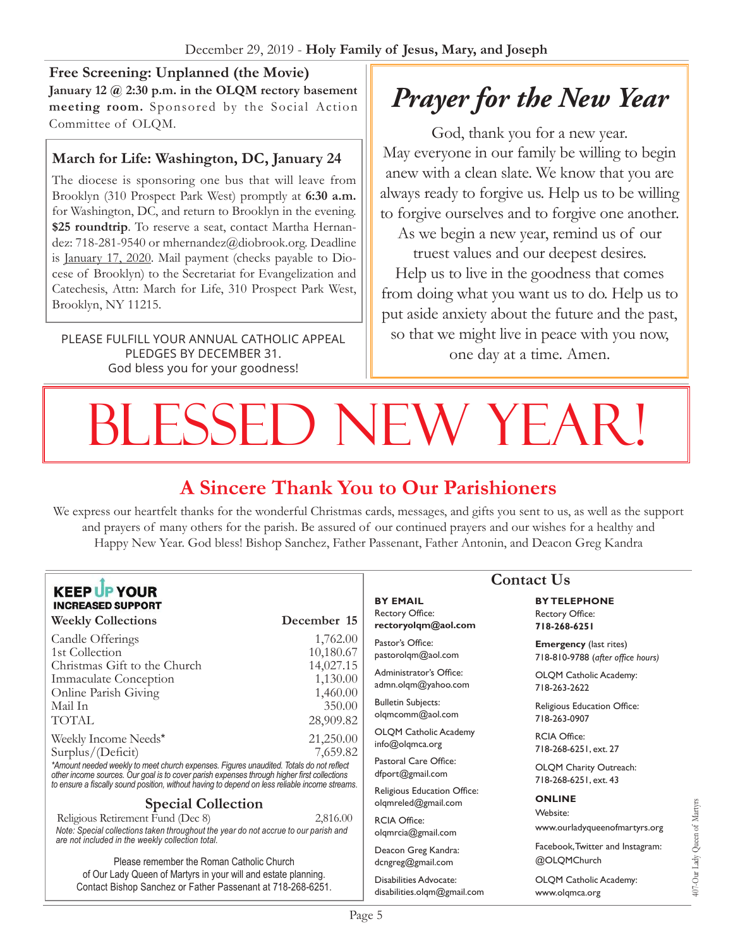**Free Screening: Unplanned (the Movie) January 12 @ 2:30 p.m. in the OLQM rectory basement meeting room.** Sponsored by the Social Action Committee of OLQM.

#### **March for Life: Washington, DC, January 24**

The diocese is sponsoring one bus that will leave from Brooklyn (310 Prospect Park West) promptly at **6:30 a.m.** for Washington, DC, and return to Brooklyn in the evening. **\$25 roundtrip**. To reserve a seat, contact Martha Hernandez: 718-281-9540 or [mhernandez@diobrook.org.](mailto:mhernandez@diobrook.org) Deadline is January 17, 2020. Mail payment (checks payable to Diocese of Brooklyn) to the Secretariat for Evangelization and Catechesis, Attn: March for Life, 310 Prospect Park West, Brooklyn, NY 11215.

PLEASE FULFILL YOUR ANNUAL CATHOLIC APPEAL PLEDGES BY DECEMBER 31. God bless you for your goodness!

# *Prayer for the New Year*

God, thank you for a new year. May everyone in our family be willing to begin anew with a clean slate. We know that you are always ready to forgive us. Help us to be willing to forgive ourselves and to forgive one another. As we begin a new year, remind us of our truest values and our deepest desires. Help us to live in the goodness that comes from doing what you want us to do. Help us to put aside anxiety about the future and the past, so that we might live in peace with you now, one day at a time. Amen.

# BLESSED NEW YEAR!

# **A Sincere Thank You to Our Parishioners**

We express our heartfelt thanks for the wonderful Christmas cards, messages, and gifts you sent to us, as well as the support and prayers of many others for the parish. Be assured of our continued prayers and our wishes for a healthy and Happy New Year. God bless! Bishop Sanchez, Father Passenant, Father Antonin, and Deacon Greg Kandra

#### **KEEP UP YOUR INCREASED SUPPORT**

#### **Weekly Collections December 15**  Candle Offerings 1,762.00 1st Collection 10,180.67 Christmas Gift to the Church 14,027.15 Immaculate Conception 1,130.00 Online Parish Giving 1,460.00<br>Mail In 350.00 Mail In 350.00 TOTAL 28,909.82 Weekly Income Needs\* 21,250.00 Surplus/(Deficit) 7,659.82 *\*Amount needed weekly to meet church expenses. Figures unaudited. Totals do not reflect*

*other income sources. Our goal is to cover parish expenses through higher first collections to ensure a fiscally sound position, without having to depend on less reliable income streams*.

#### **Special Collection**

Religious Retirement Fund (Dec 8) 2,816.00 *Note: Special collections taken throughout the year do not accrue to our parish and are not included in the weekly collection total.*

Please remember the Roman Catholic Church of Our Lady Queen of Martyrs in your will and estate planning. Contact Bishop Sanchez or Father Passenant at 718-268-6251.

#### **BY EMAIL** Rectory Office: **rectoryolqm@aol.com**

Pastor's Office: pastorolqm@aol.com

Administrator's Office: admn.olqm@yahoo.com

Bulletin Subjects: olqmcomm@aol.com

OLQM Catholic Academy info@olqmca.org

Pastoral Care Office: dfport@gmail.com

Religious Education Office: olqmreled@gmail.com

RCIA Office: [olqmrcia@gmail.com](mailto:olqmrcia@gmail.com)

Deacon Greg Kandra: dcngreg@gmail.com

Disabilities Advocate: [disabilities.olqm@gmail.com](mailto:disabilities.olqm@gmail.com)

# **Contact Us**

**BY TELEPHONE** Rectory Office: **718-268-6251**

**Emergency** (last rites) 718-810-9788 (*after office hours)*

OLQM Catholic Academy: 718-263-2622

Religious Education Office: 718-263-0907

RCIA Office: 718-268-6251, ext. 27

OLQM Charity Outreach: 718-268-6251, ext. 43

#### **ONLINE**

Website: www.ourladyqueenofmartyrs.org

Facebook, Twitter and Instagram: @OLQMChurch

OLQM Catholic Academy: <www.olqmca.org>